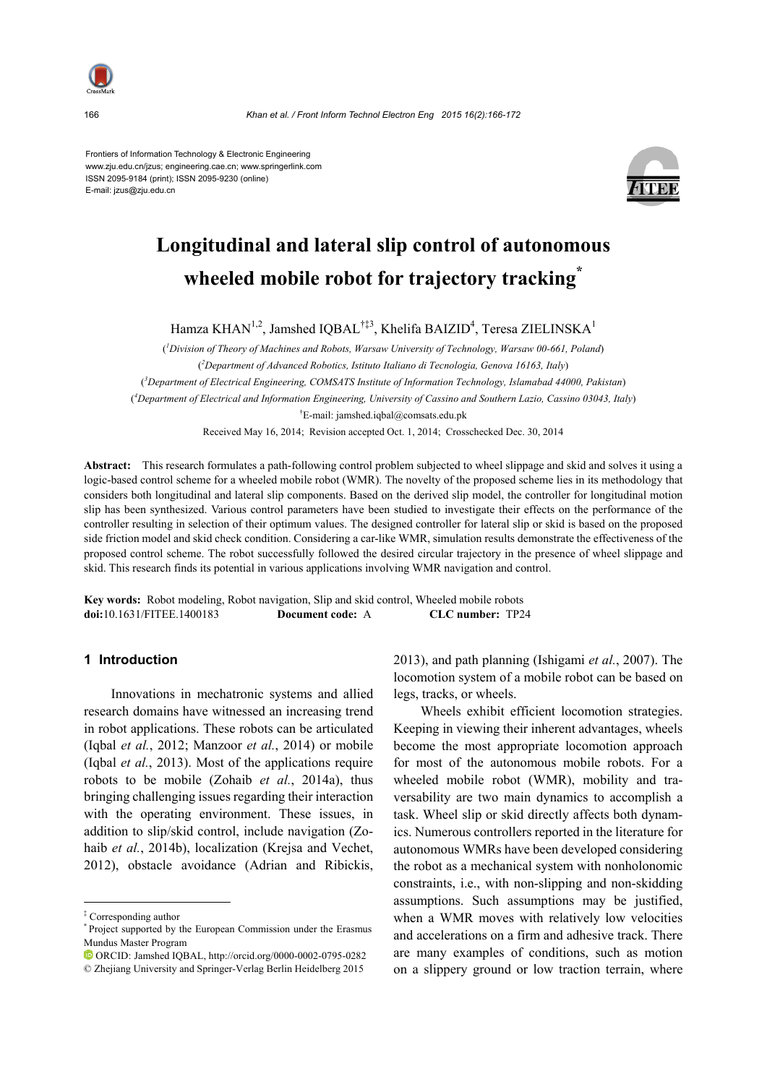

Frontiers of Information Technology & Electronic Engineering www.zju.edu.cn/jzus; engineering.cae.cn; www.springerlink.com ISSN 2095-9184 (print); ISSN 2095-9230 (online) E-mail: jzus@zju.edu.cn



# **Longitudinal and lateral slip control of autonomous wheeled mobile robot for trajectory tracking\***

Hamza KHAN<sup>1,2</sup>, Jamshed IQBAL<sup>†‡3</sup>, Khelifa BAIZID<sup>4</sup>, Teresa ZIELINSKA<sup>1</sup>

( *1 Division of Theory of Machines and Robots, Warsaw University of Technology, Warsaw 00-661, Poland*) ( *2 Department of Advanced Robotics, Istituto Italiano di Tecnologia, Genova 16163, Italy*) ( *3 Department of Electrical Engineering, COMSATS Institute of Information Technology, Islamabad 44000, Pakistan*) ( *4 Department of Electrical and Information Engineering, University of Cassino and Southern Lazio, Cassino 03043, Italy*) † E-mail: jamshed.iqbal@comsats.edu.pk

Received May 16, 2014; Revision accepted Oct. 1, 2014; Crosschecked Dec. 30, 2014

**Abstract:** This research formulates a path-following control problem subjected to wheel slippage and skid and solves it using a logic-based control scheme for a wheeled mobile robot (WMR). The novelty of the proposed scheme lies in its methodology that considers both longitudinal and lateral slip components. Based on the derived slip model, the controller for longitudinal motion slip has been synthesized. Various control parameters have been studied to investigate their effects on the performance of the controller resulting in selection of their optimum values. The designed controller for lateral slip or skid is based on the proposed side friction model and skid check condition. Considering a car-like WMR, simulation results demonstrate the effectiveness of the proposed control scheme. The robot successfully followed the desired circular trajectory in the presence of wheel slippage and skid. This research finds its potential in various applications involving WMR navigation and control.

**Key words:** Robot modeling, Robot navigation, Slip and skid control, Wheeled mobile robots **doi:**10.1631/FITEE.1400183 **Document code:** A **CLC number:** TP24

## **1 Introduction**

Innovations in mechatronic systems and allied research domains have witnessed an increasing trend in robot applications. These robots can be articulated (Iqbal *et al.*, 2012; Manzoor *et al.*, 2014) or mobile (Iqbal *et al.*, 2013). Most of the applications require robots to be mobile (Zohaib *et al.*, 2014a), thus bringing challenging issues regarding their interaction with the operating environment. These issues, in addition to slip/skid control, include navigation (Zohaib *et al.*, 2014b), localization (Krejsa and Vechet, 2012), obstacle avoidance (Adrian and Ribickis,

2013), and path planning (Ishigami *et al.*, 2007). The locomotion system of a mobile robot can be based on legs, tracks, or wheels.

Wheels exhibit efficient locomotion strategies. Keeping in viewing their inherent advantages, wheels become the most appropriate locomotion approach for most of the autonomous mobile robots. For a wheeled mobile robot (WMR), mobility and traversability are two main dynamics to accomplish a task. Wheel slip or skid directly affects both dynamics. Numerous controllers reported in the literature for autonomous WMRs have been developed considering the robot as a mechanical system with nonholonomic constraints, i.e., with non-slipping and non-skidding assumptions. Such assumptions may be justified, when a WMR moves with relatively low velocities and accelerations on a firm and adhesive track. There are many examples of conditions, such as motion on a slippery ground or low traction terrain, where

<sup>‡</sup> Corresponding author

<sup>\*</sup> Project supported by the European Commission under the Erasmus Mundus Master Program

ORCID: Jamshed IQBAL, http://orcid.org/0000-0002-0795-0282 © Zhejiang University and Springer-Verlag Berlin Heidelberg 2015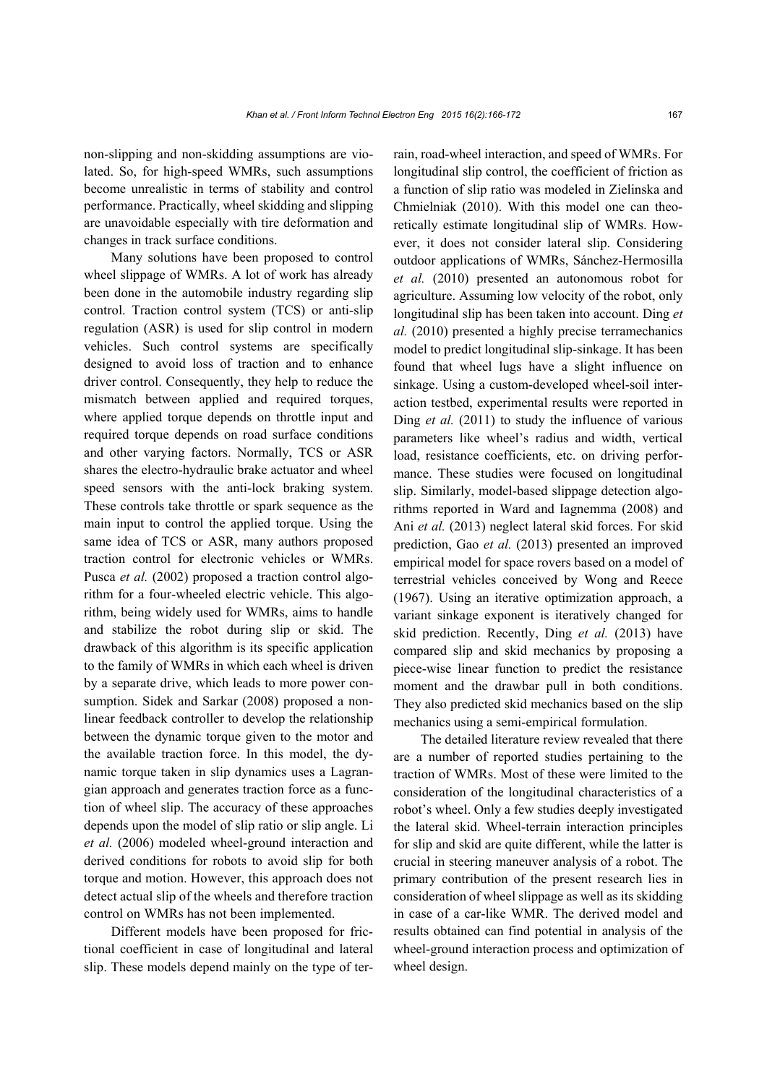non-slipping and non-skidding assumptions are violated. So, for high-speed WMRs, such assumptions become unrealistic in terms of stability and control performance. Practically, wheel skidding and slipping are unavoidable especially with tire deformation and changes in track surface conditions.

Many solutions have been proposed to control wheel slippage of WMRs. A lot of work has already been done in the automobile industry regarding slip control. Traction control system (TCS) or anti-slip regulation (ASR) is used for slip control in modern vehicles. Such control systems are specifically designed to avoid loss of traction and to enhance driver control. Consequently, they help to reduce the mismatch between applied and required torques, where applied torque depends on throttle input and required torque depends on road surface conditions and other varying factors. Normally, TCS or ASR shares the electro-hydraulic brake actuator and wheel speed sensors with the anti-lock braking system. These controls take throttle or spark sequence as the main input to control the applied torque. Using the same idea of TCS or ASR, many authors proposed traction control for electronic vehicles or WMRs. Pusca *et al.* (2002) proposed a traction control algorithm for a four-wheeled electric vehicle. This algorithm, being widely used for WMRs, aims to handle and stabilize the robot during slip or skid. The drawback of this algorithm is its specific application to the family of WMRs in which each wheel is driven by a separate drive, which leads to more power consumption. Sidek and Sarkar (2008) proposed a nonlinear feedback controller to develop the relationship between the dynamic torque given to the motor and the available traction force. In this model, the dynamic torque taken in slip dynamics uses a Lagrangian approach and generates traction force as a function of wheel slip. The accuracy of these approaches depends upon the model of slip ratio or slip angle. Li *et al.* (2006) modeled wheel-ground interaction and derived conditions for robots to avoid slip for both torque and motion. However, this approach does not detect actual slip of the wheels and therefore traction control on WMRs has not been implemented.

Different models have been proposed for frictional coefficient in case of longitudinal and lateral slip. These models depend mainly on the type of terrain, road-wheel interaction, and speed of WMRs. For longitudinal slip control, the coefficient of friction as a function of slip ratio was modeled in Zielinska and Chmielniak (2010). With this model one can theoretically estimate longitudinal slip of WMRs. However, it does not consider lateral slip. Considering outdoor applications of WMRs, Sánchez-Hermosilla *et al.* (2010) presented an autonomous robot for agriculture. Assuming low velocity of the robot, only longitudinal slip has been taken into account. Ding *et al.* (2010) presented a highly precise terramechanics model to predict longitudinal slip-sinkage. It has been found that wheel lugs have a slight influence on sinkage. Using a custom-developed wheel-soil interaction testbed, experimental results were reported in Ding *et al.* (2011) to study the influence of various parameters like wheel's radius and width, vertical load, resistance coefficients, etc. on driving performance. These studies were focused on longitudinal slip. Similarly, model-based slippage detection algorithms reported in Ward and Iagnemma (2008) and Ani *et al.* (2013) neglect lateral skid forces. For skid prediction, Gao *et al.* (2013) presented an improved empirical model for space rovers based on a model of terrestrial vehicles conceived by Wong and Reece (1967). Using an iterative optimization approach, a variant sinkage exponent is iteratively changed for skid prediction. Recently, Ding *et al.* (2013) have compared slip and skid mechanics by proposing a piece-wise linear function to predict the resistance moment and the drawbar pull in both conditions. They also predicted skid mechanics based on the slip mechanics using a semi-empirical formulation.

The detailed literature review revealed that there are a number of reported studies pertaining to the traction of WMRs. Most of these were limited to the consideration of the longitudinal characteristics of a robot's wheel. Only a few studies deeply investigated the lateral skid. Wheel-terrain interaction principles for slip and skid are quite different, while the latter is crucial in steering maneuver analysis of a robot. The primary contribution of the present research lies in consideration of wheel slippage as well as its skidding in case of a car-like WMR. The derived model and results obtained can find potential in analysis of the wheel-ground interaction process and optimization of wheel design.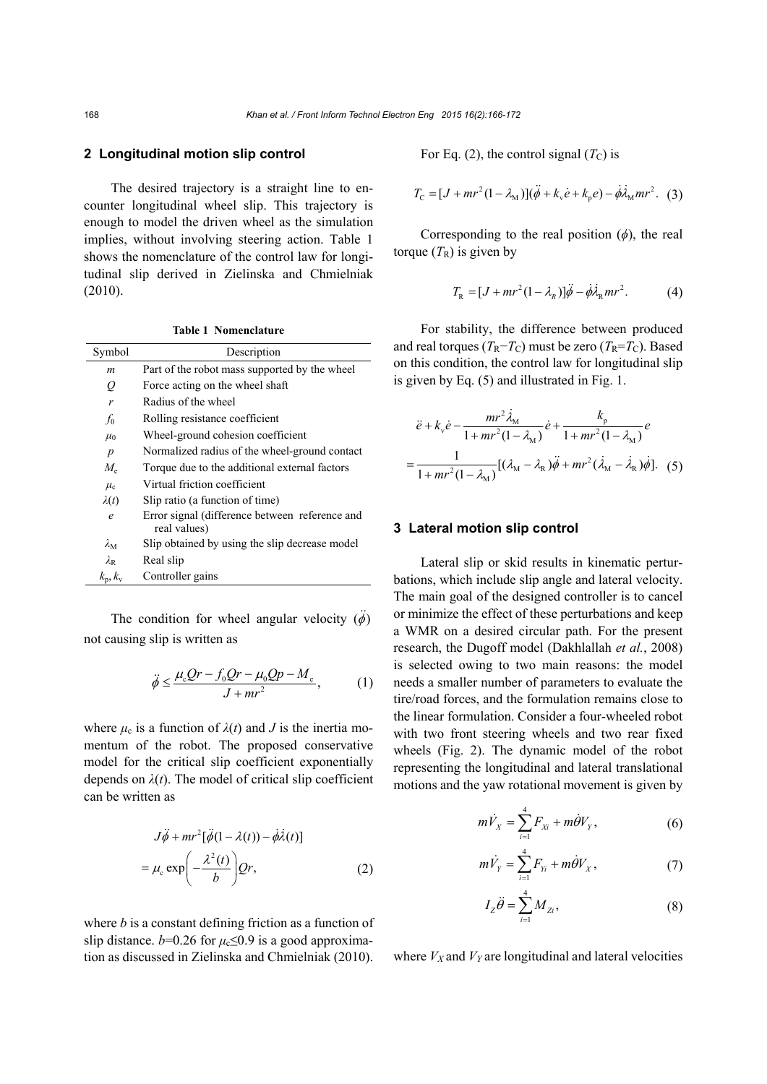### **2 Longitudinal motion slip control**

The desired trajectory is a straight line to encounter longitudinal wheel slip. This trajectory is enough to model the driven wheel as the simulation implies, without involving steering action. Table 1 shows the nomenclature of the control law for longitudinal slip derived in Zielinska and Chmielniak (2010).

**Table 1 Nomenclature** 

| Symbol                 | Description                                                    |
|------------------------|----------------------------------------------------------------|
| m                      | Part of the robot mass supported by the wheel                  |
| Q                      | Force acting on the wheel shaft                                |
| r                      | Radius of the wheel                                            |
| $f_0$                  | Rolling resistance coefficient                                 |
| $\mu_0$                | Wheel-ground cohesion coefficient                              |
| p                      | Normalized radius of the wheel-ground contact                  |
| $M_{\rm e}$            | Torque due to the additional external factors                  |
| $\mu_{\rm c}$          | Virtual friction coefficient                                   |
| $\lambda(t)$           | Slip ratio (a function of time)                                |
| e                      | Error signal (difference between reference and<br>real values) |
| $\lambda_{\rm M}$      | Slip obtained by using the slip decrease model                 |
| $\lambda_{\rm R}$      | Real slip                                                      |
| $k_{\rm p}, k_{\rm v}$ | Controller gains                                               |

The condition for wheel angular velocity  $(\ddot{\phi})$ not causing slip is written as

$$
\ddot{\phi} \le \frac{\mu_{\rm e} Q r - f_0 Q r - \mu_0 Q p - M_{\rm e}}{J + m r^2},\tag{1}
$$

where  $\mu_c$  is a function of  $\lambda(t)$  and *J* is the inertia momentum of the robot. The proposed conservative model for the critical slip coefficient exponentially depends on  $\lambda(t)$ . The model of critical slip coefficient can be written as

$$
J\ddot{\phi} + mr^2[\ddot{\phi}(1 - \lambda(t)) - \dot{\phi}\dot{\lambda}(t)]
$$
  
=  $\mu_c \exp\left(-\frac{\lambda^2(t)}{b}\right)Qr$ , (2)

where *b* is a constant defining friction as a function of slip distance.  $b=0.26$  for  $\mu_c \leq 0.9$  is a good approximation as discussed in Zielinska and Chmielniak (2010).

For Eq. (2), the control signal  $(T_C)$  is

$$
T_{\rm C} = [J + mr^2 (1 - \lambda_{\rm M})] (\ddot{\phi} + k_{\rm v} \dot{e} + k_{\rm p} e) - \dot{\phi} \dot{\lambda}_{\rm M} mr^2.
$$
 (3)

Corresponding to the real position (*ϕ*), the real torque  $(T_R)$  is given by

$$
T_{\rm R} = [J + mr^2 (1 - \lambda_R)] \ddot{\phi} - \dot{\phi} \dot{\lambda}_{\rm R} mr^2. \tag{4}
$$

For stability, the difference between produced and real torques ( $T_R - T_C$ ) must be zero ( $T_R = T_C$ ). Based on this condition, the control law for longitudinal slip is given by Eq. (5) and illustrated in Fig. 1.

$$
\ddot{e} + k_{\rm v} \dot{e} - \frac{mr^2 \dot{\lambda}_{\rm M}}{1 + mr^2 (1 - \lambda_{\rm M})} \dot{e} + \frac{k_{\rm p}}{1 + mr^2 (1 - \lambda_{\rm M})} e
$$

$$
= \frac{1}{1 + mr^2 (1 - \lambda_{\rm M})} [(\lambda_{\rm M} - \lambda_{\rm R}) \ddot{\phi} + mr^2 (\dot{\lambda}_{\rm M} - \dot{\lambda}_{\rm R}) \dot{\phi}]. \quad (5)
$$

# **3 Lateral motion slip control**

Lateral slip or skid results in kinematic perturbations, which include slip angle and lateral velocity. The main goal of the designed controller is to cancel or minimize the effect of these perturbations and keep a WMR on a desired circular path. For the present research, the Dugoff model (Dakhlallah *et al.*, 2008) is selected owing to two main reasons: the model needs a smaller number of parameters to evaluate the tire/road forces, and the formulation remains close to the linear formulation. Consider a four-wheeled robot with two front steering wheels and two rear fixed wheels (Fig. 2). The dynamic model of the robot representing the longitudinal and lateral translational motions and the yaw rotational movement is given by

$$
m\dot{V}_x = \sum_{i=1}^4 F_{xi} + m\dot{\theta}V_y, \qquad (6)
$$

$$
m\dot{V}_Y = \sum_{i=1}^4 F_{Y_i} + m\dot{\theta}V_X, \qquad (7)
$$

$$
I_z \ddot{\theta} = \sum_{i=1}^{4} M_{Z_i},\tag{8}
$$

where  $V_X$  and  $V_Y$  are longitudinal and lateral velocities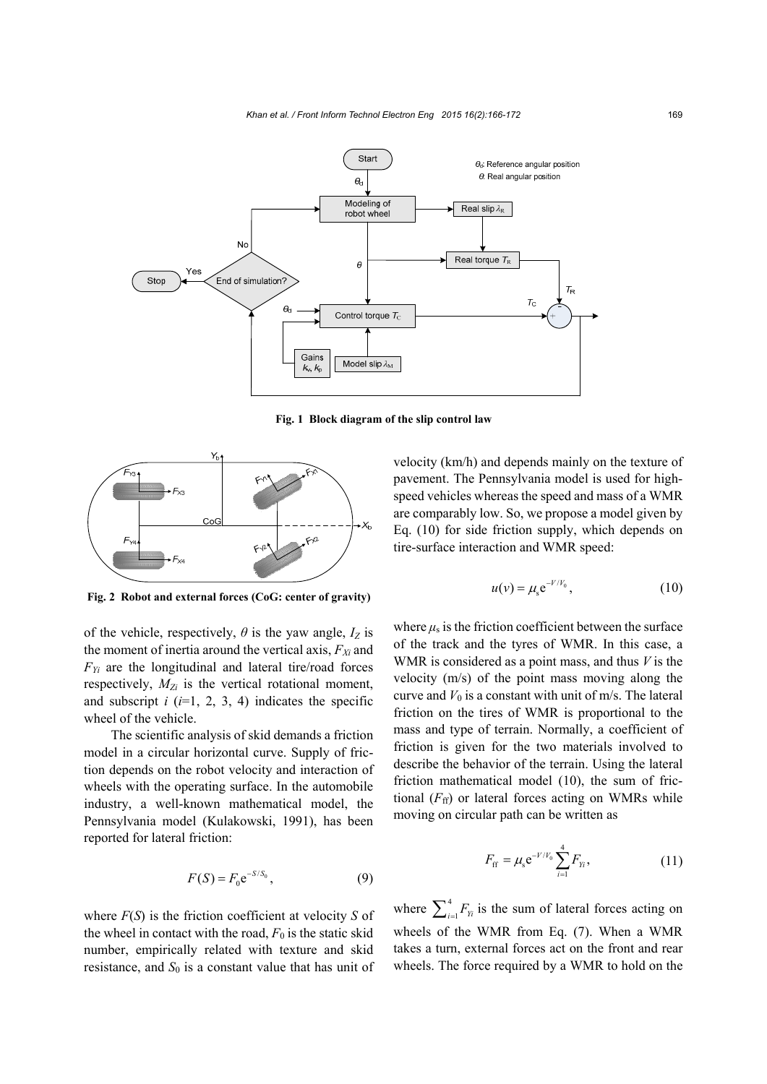

**Fig. 1 Block diagram of the slip control law** 



**Fig. 2 Robot and external forces (CoG: center of gravity)**

of the vehicle, respectively,  $\theta$  is the yaw angle,  $I_z$  is the moment of inertia around the vertical axis,  $F_{Xi}$  and  $F_{Yi}$  are the longitudinal and lateral tire/road forces respectively,  $M_{Zi}$  is the vertical rotational moment, and subscript  $i$  ( $i=1, 2, 3, 4$ ) indicates the specific wheel of the vehicle.

The scientific analysis of skid demands a friction model in a circular horizontal curve. Supply of friction depends on the robot velocity and interaction of wheels with the operating surface. In the automobile industry, a well-known mathematical model, the Pennsylvania model (Kulakowski, 1991), has been reported for lateral friction:

$$
F(S) = F_0 e^{-S/S_0},\tag{9}
$$

where *F*(*S*) is the friction coefficient at velocity *S* of the wheel in contact with the road,  $F_0$  is the static skid number, empirically related with texture and skid resistance, and  $S_0$  is a constant value that has unit of velocity (km/h) and depends mainly on the texture of pavement. The Pennsylvania model is used for highspeed vehicles whereas the speed and mass of a WMR are comparably low. So, we propose a model given by Eq. (10) for side friction supply, which depends on tire-surface interaction and WMR speed:

$$
u(v) = \mu_{\rm s} e^{-V/V_0},\qquad(10)
$$

where  $\mu$ <sub>s</sub> is the friction coefficient between the surface of the track and the tyres of WMR. In this case, a WMR is considered as a point mass, and thus *V* is the velocity (m/s) of the point mass moving along the curve and  $V_0$  is a constant with unit of m/s. The lateral friction on the tires of WMR is proportional to the mass and type of terrain. Normally, a coefficient of friction is given for the two materials involved to describe the behavior of the terrain. Using the lateral friction mathematical model (10), the sum of frictional  $(F_{ff})$  or lateral forces acting on WMRs while moving on circular path can be written as

$$
F_{\rm ff} = \mu_{\rm s} e^{-V/V_0} \sum_{i=1}^{4} F_{\gamma_i}, \qquad (11)
$$

where  $\sum_{i=1}^{4} F_{Y_i}$  is the sum of lateral forces acting on wheels of the WMR from Eq. (7). When a WMR takes a turn, external forces act on the front and rear wheels. The force required by a WMR to hold on the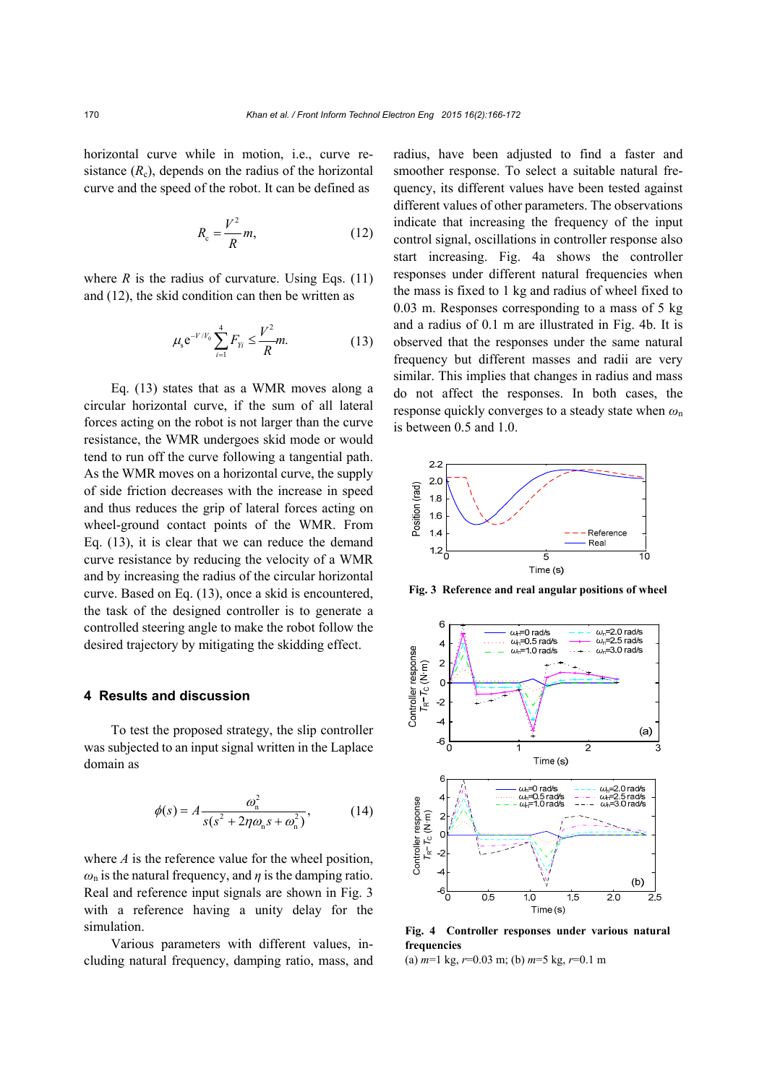horizontal curve while in motion, i.e., curve resistance  $(R_c)$ , depends on the radius of the horizontal curve and the speed of the robot. It can be defined as

$$
R_{\rm c} = \frac{V^2}{R} m,\tag{12}
$$

where  $R$  is the radius of curvature. Using Eqs.  $(11)$ and (12), the skid condition can then be written as

$$
\mu_{s} e^{-V/V_{0}} \sum_{i=1}^{4} F_{Y_{i}} \leq \frac{V^{2}}{R} m.
$$
 (13)

Eq. (13) states that as a WMR moves along a circular horizontal curve, if the sum of all lateral forces acting on the robot is not larger than the curve resistance, the WMR undergoes skid mode or would tend to run off the curve following a tangential path. As the WMR moves on a horizontal curve, the supply of side friction decreases with the increase in speed and thus reduces the grip of lateral forces acting on wheel-ground contact points of the WMR. From Eq. (13), it is clear that we can reduce the demand curve resistance by reducing the velocity of a WMR and by increasing the radius of the circular horizontal curve. Based on Eq. (13), once a skid is encountered, the task of the designed controller is to generate a controlled steering angle to make the robot follow the desired trajectory by mitigating the skidding effect.

# **4 Results and discussion**

To test the proposed strategy, the slip controller was subjected to an input signal written in the Laplace domain as

$$
\phi(s) = A \frac{\omega_n^2}{s(s^2 + 2\eta \omega_n s + \omega_n^2)},
$$
(14)

where *A* is the reference value for the wheel position,  $\omega$ <sub>n</sub> is the natural frequency, and  $\eta$  is the damping ratio. Real and reference input signals are shown in Fig. 3 with a reference having a unity delay for the simulation.

Various parameters with different values, including natural frequency, damping ratio, mass, and radius, have been adjusted to find a faster and smoother response. To select a suitable natural frequency, its different values have been tested against different values of other parameters. The observations indicate that increasing the frequency of the input control signal, oscillations in controller response also start increasing. Fig. 4a shows the controller responses under different natural frequencies when the mass is fixed to 1 kg and radius of wheel fixed to 0.03 m. Responses corresponding to a mass of 5 kg and a radius of 0.1 m are illustrated in Fig. 4b. It is observed that the responses under the same natural frequency but different masses and radii are very similar. This implies that changes in radius and mass do not affect the responses. In both cases, the response quickly converges to a steady state when *ω*<sup>n</sup> is between 0.5 and 1.0.



**Fig. 3 Reference and real angular positions of wheel**



**Fig. 4 Controller responses under various natural frequencies** 

(a) *m*=1 kg, *r*=0.03 m; (b) *m*=5 kg, *r*=0.1 m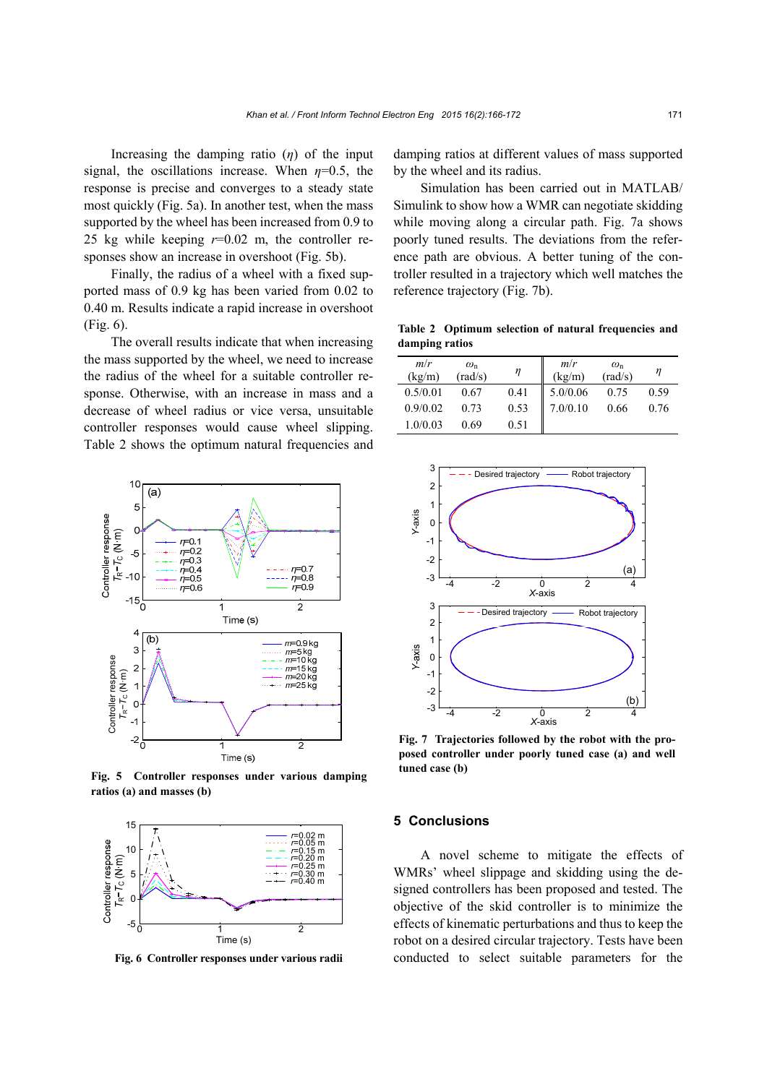Increasing the damping ratio (*η*) of the input signal, the oscillations increase. When  $n=0.5$ , the response is precise and converges to a steady state most quickly (Fig. 5a). In another test, when the mass supported by the wheel has been increased from 0.9 to 25 kg while keeping *r*=0.02 m, the controller responses show an increase in overshoot (Fig. 5b).

Finally, the radius of a wheel with a fixed supported mass of 0.9 kg has been varied from 0.02 to 0.40 m. Results indicate a rapid increase in overshoot (Fig. 6).

The overall results indicate that when increasing the mass supported by the wheel, we need to increase the radius of the wheel for a suitable controller response. Otherwise, with an increase in mass and a decrease of wheel radius or vice versa, unsuitable controller responses would cause wheel slipping. Table 2 shows the optimum natural frequencies and



**Fig. 5 Controller responses under various damping ratios (a) and masses (b)** 



damping ratios at different values of mass supported by the wheel and its radius.

Simulation has been carried out in MATLAB/ Simulink to show how a WMR can negotiate skidding while moving along a circular path. Fig. 7a shows poorly tuned results. The deviations from the reference path are obvious. A better tuning of the controller resulted in a trajectory which well matches the reference trajectory (Fig. 7b).

**Table 2 Optimum selection of natural frequencies and damping ratios** 

| m/r<br>(kg/m) | $\omega_{\rm n}$<br>(rad/s) | η    | m/r<br>(kg/m) | $\omega_{\rm n}$<br>$\text{(rad/s)}$ | η    |
|---------------|-----------------------------|------|---------------|--------------------------------------|------|
| 0.5/0.01      | 0.67                        | 0.41 | 5.0/0.06      | 0.75                                 | 0.59 |
| 0.9/0.02      | 0.73                        | 0.53 | 7.0/0.10      | 0.66                                 | 0.76 |
| 1.0/0.03      | 0.69                        | 0.51 |               |                                      |      |



**Fig. 7 Trajectories followed by the robot with the proposed controller under poorly tuned case (a) and well tuned case (b)** 

### **5 Conclusions**

A novel scheme to mitigate the effects of WMRs' wheel slippage and skidding using the designed controllers has been proposed and tested. The objective of the skid controller is to minimize the effects of kinematic perturbations and thus to keep the robot on a desired circular trajectory. Tests have been conducted to select suitable parameters for the